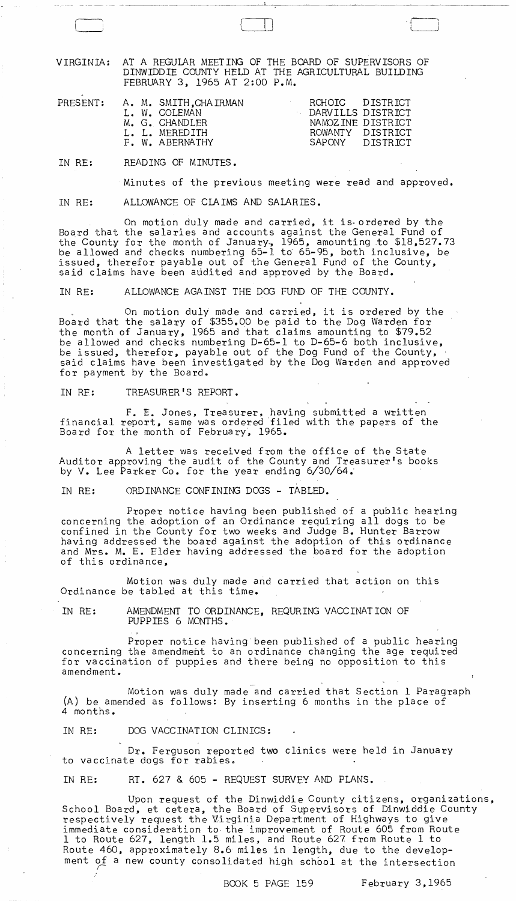VIRGINIA: AT A REGULAR MEETING OF THE BOARD OF SUPERVISORS OF DINWIDDIE COUNTY HELD AT THE AGRICULTURAL BUILDING FEBRUARY 3, 1965 AT 2:00 P.M.

| PRESENT: |  | A. M. SMITH.CHAIRMAN | ROHOIC DISTRICT   |                   |
|----------|--|----------------------|-------------------|-------------------|
|          |  | L. W. COLEMAN        | DARVILLS DISTRICT |                   |
|          |  | M. G. CHANDLER       |                   | NAMOZINE DISTRICT |
|          |  | L. L. MEREDITH       | ROWANTY DISTRICT  |                   |
|          |  | F. W. ABERNATHY      |                   | SAPONY DISTRICT   |
|          |  |                      |                   |                   |

IN RE: READING OF MINUTES.

 $\Box$ 

Minutes of the previous meeting were read and approved.

IN RE: ALLOWANCE OF CLAIMS AND SALARIES.

On motion duly made and carried, it is ordered by the Board that the salaries and accounts against the General Fund of the County for the month of January, 1965, amounting to \$18,527.73 be allowed and checks numbering 65-1 to 65-95, both inclusive, be issued, therefor payable out of the General Fund of the County, said claims have been audited and approved by the Board.

IN RE: ALLOWANCE AGAINST THE DOG FUND OF THE COUNTY.

On motion duly made and carried, it is ordered by the Board that the salary of \$355.00 be paid to the Dog Warden for the month of January, 1965 and that claims amounting to \$79.52 be allowed and checks numbering D-65-1 to *D-65-6* both inclusive, be issued, therefor. payable out of the Dog Fund of the County, said claims have been investigated by the Dog Warden and approved for payment by the Board.

IN RF: TREASURER'S REPORT.

F. E. Jones, Treasurer, having submitted a written financial report, same was ordered 'filed with the papers of the Board for the month of February, 1965.

A letter was received from the office of the State Auditor approving the audit of the County and Treasurer's books by V. Lee Parker Co. for the year ending 6/30/64.'

IN RE: ORDINANCE CONFINING DOGS - TABLED.

Proper notice having been published of a public hearing concerning the adoption of an Ordinance requiring all dogs to be confined in the County for two weeks and Judge B. Hunter Barrow having addressed the board against the adoption of this ordinance and Mrs. M. E. Elder having addressed the board for the adoption of this ordinance,

Motion was duly made and carried that action on this Ordinance be tabled at this time.

IN RE: AMENDMENT TO ORDINANCE, REQURING VACCINATION OF PUPPIES 6 MONTHS.

Proper notice having been published of a public hearing concerning the amendment to an ordinance changing the age required for vaccination of puppies and there being no opposition to this amendment.

Motion was duly made and carried that Section 1 Paragraph (A) be amended as follows: By inserting 6 months in the place of 4 months.

IN RE: DOG VACCINATION CLINICS:

Dr. Ferguson reported two clinics were held in January to vaccinate dogs for rabies.

IN RE: RT. 627 & 605 - REQUEST SURVEY AND PLANS.

Upon request of the Dinwiddie County citizens, organizations, School Board, et cetera, the Board of Supervisors of Dinwiddie County respectively request the Uirginia Department of Highways to give immediate consideration to, the improvement of Route 605 from Route 1 to Route 627, length 1.5 miles, and Route 627 from Route 1 to Route 460, approximately 8.6 miles in length, due to the development of a new county consolidated high school at the intersection

BOOK 5 PAGE 159 February 3,1965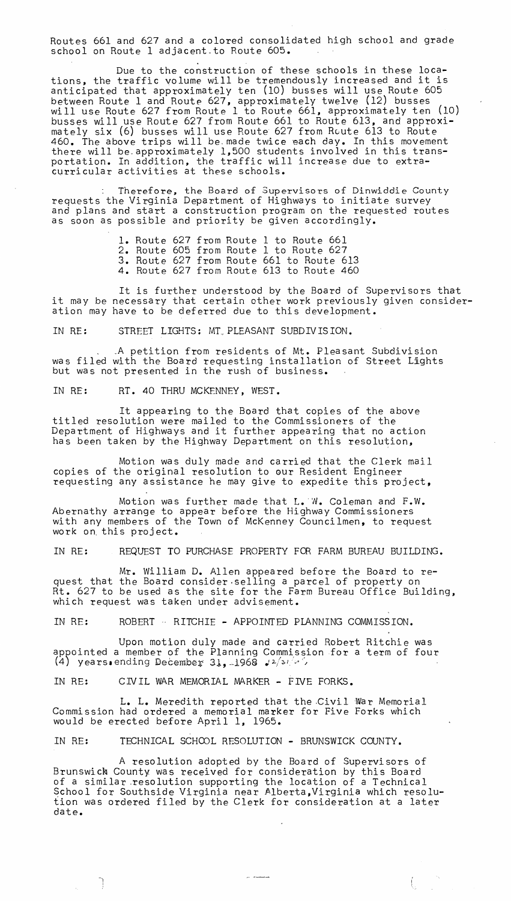Routes 661 and 627 and a colored consolidated high school and grade school on Route 1 adjacent to Route 605.

Due to the construction of these schools in these locations, the traffic volume will be tremendously increased and it is anticipated that approximately ten (10) busses will use Route 605 between Route 1 and Route 627, approximately twelve (12) busses will use Route 627 from Route 1 to Route 661, approximately ten (10) busses will use Route 627 from Route 661 to Route 613, and approximately six (6) busses will use Route 627 from Route 613 to Route 460. The above trips will be made twice each day. In this movement there will be approximately 1,500 students involved in this transportation. In addition, the traffic will increase due to extracurricular activities at these schools.

Therefore, the Board of Supervisors of Dinwiddie County requests the Virginia Department of Highways to initiate survey and plans and start a construction program on the requested routes as soon as possible and priority be given accordingly.

> 1. Route 627 from Route 1 to Route 661 2. Route 605 from Route 1 to Route 627 3. Route 627 from Route 661 to Route 613 4. Route 627 from Route 613 to Route 460

It is further understood by the Board of Supervisors that It is further dhoerstood by the board of supervisors that<br>it may be necessary that certain other work previously given consideration may have to be deferred due to this development.

IN RE: STREET LIGHTS: MT,PLEASANT SUBDIVISION.

.A petition from residents of Mt. Pleasant Subdivision was filed with the Board requesting installation of Street Lights but was not presented in the rush of business.

IN RE: RT. 40 THRU MCKENNEY, WEST.

It appearing to the Board that copies of the above titled resolution were mailed to the Commissioners of the Department of Highways and it further appearing that no action has been taken by the Highway Department on this resolution,

Motion was duly made and carried that the Clerk mail copies of the original resolution to our Resident Engineer requesting any assistance he may give to expedite this project,

Motion was further made that  $L_{\bullet}$  W. Coleman and F.W. Abernathy arrange to appear before the Highway Commissioners with any members of the Town of McKenney Councilmen, to request work on. this project.

IN RE: REQUEST TO PURCHASE PROPERTY FOR FARM BUREAU BUILDING.

Mr. William D. Allen appeared before the Board to request that the Board consider.selling a parcel of property on Rt. 627 to be used as the site for the Farm Bureau Office Building, which request was taken under advisement.

IN RE: ROBERT - RITCHIE - APPOINTED PLANNING COMMISSION.

Upon motion duly made and carried Robert Ritchie was appointed a member of the Planning Commission for a term of four (4) years.ending December 31,  $1968$   $12/s/(s)$ 

IN RE: CIVIL WAR MEMORIAL MARKER - FIVE FORKS.

ŋ

**L.** L. Meredith reported that the .Civil War Memorial Commission had ordered a memorial marker for Five Forks which would be erected before April 1, 1965.

IN RE: TECHNICAL SCHOOL RESOLUTION - BRUNSWICK COUNTY.

A resolution adopted by the Board of Supervisors of Brunswick County was received for consideration by this Board of a similar .resolution supporting the location of a Technical School for Southside Virginia near Alberta,Virginia which resolution was ordered filed by the Clerk for consideration at a later date.

ţ.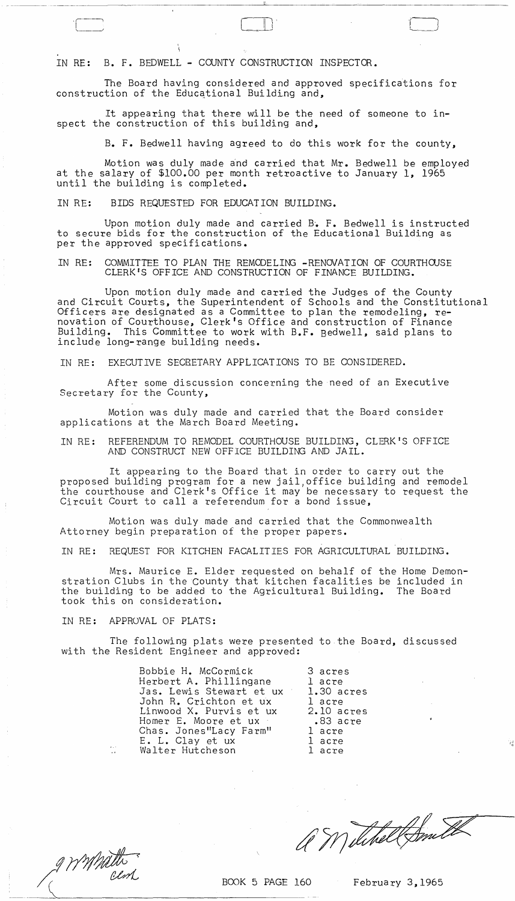IN RE: B. F. BEDWELL - COUNTY CONSTRUCTION INSPECTOR.

The Board having considered and approved specifications for construction of the Educational Building and,

- --------- -------------------- ~-~--------~----~--~------~-------

 $\boxed{\phantom{1}}$ 

It appearing that there will be the need of someone to inspect the construction of this building and,

B. F. Bedwell having agreed to do this work for the county,

Motion was duly made and carried that Mr. Bedwell be employed at the salary of \$100.00 per month retroactive to January 1, 1965 until the building is completed.

IN RE: BIDS REQUESTED FOR EDUCATION BUILDING.

Upon motion duly made and carried B~ F. Bedwell is instructed to secure bids for the construction of the Educational Building as per the approved specifications.

IN RE: COMMITTEE TO PLAN THE REMODELING -RENOVATION OF COURTHOJSE CLERK'S OFFICE AND CONSTRUCTION OF FINANCE BUILDING.

Upon motion duly made and carried the Judges of the County and Circuit Courts, the Superintendent of Schools and the Constitutional Officers are designated as a Committee to plan the remodeling, renovation of Courthouse, Clerk's Office and construction of Finance Building. This Committee to work with B.F. Bedwell, said plans to include long-range building needs.

IN RE: EXECUTIVE SECRETARY APPLICATIONS TO BE CONSIDERED.

After some discussion concerning the need of an Executive Secretary for the County,

Motion was duly made and carried that the Board consider applications at the March Board Meeting.

IN RE: REFERENDUM TO REMODEL COURTHOUSE BUILDING, CLERK'S OFFICE AND CONSTRUCT NEW OFFICE BUILDING AND JAIL.

It appearing to the Board that in order to carry out the proposed building program for a new jail,office building and remodel the courthouse and Clerk's Office it may be necessary to request the Circuit Court to call a referendum for a bond issue,

Motion was duly made and carried that the Commonwealth Attorney begin preparation of the proper papers.

IN RE: REQUEST FOR KITCHEN FACALITIES FOR AGRICULTURAL BUILDING.

Mrs. Maurice E. Elder requested on behalf of the Home Demonstration Clubs in the County that kitchen facalities be included in the building to be added to the Agricultural Building. The Board took this on consideration.

IN RE: APPROVAL OF PLATS:

The following plats were presented to the Board, discussed with the Resident Engineer and approved:

| Bobbie H. McCormick      | 3 acres    |
|--------------------------|------------|
| Herbert A. Phillingane   | l acre     |
| Jas. Lewis Stewart et ux | 1.30 acres |
| John R. Crichton et ux   | l acre     |
| Linwood X. Purvis et ux  | 2.10 acres |
| Homer E. Moore et ux     | $.83$ acre |
| Chas. Jones"Lacy Farm"   | 1 acre     |
| E. L. Clay et ux         | 1 acre     |
| Walter Hutcheson         | l acre     |

,-

with the second of the second of the second second second second second second second second second second second second second second second second second second second second second second second second second second sec